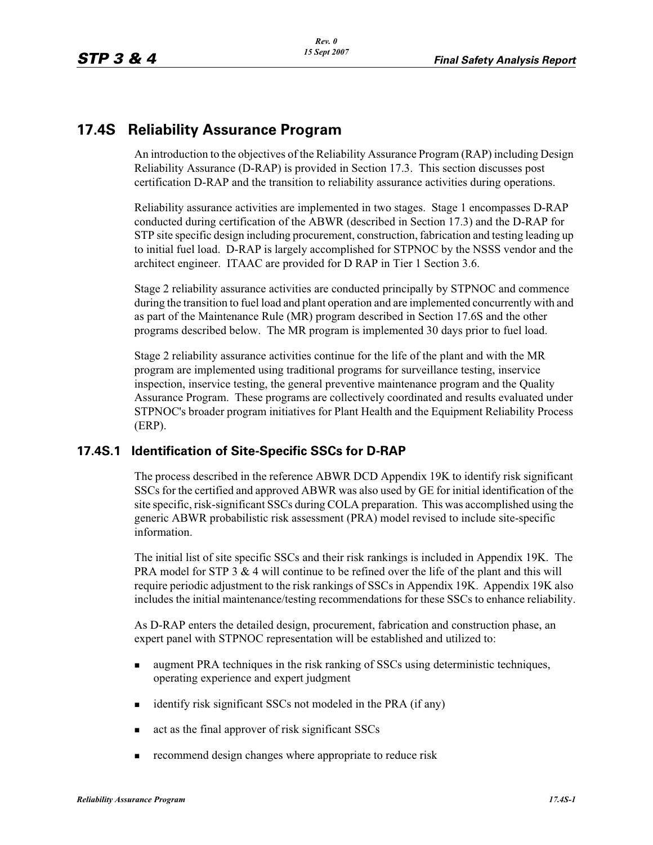# **17.4S Reliability Assurance Program**

An introduction to the objectives of the Reliability Assurance Program (RAP) including Design Reliability Assurance (D-RAP) is provided in Section 17.3. This section discusses post certification D-RAP and the transition to reliability assurance activities during operations.

Reliability assurance activities are implemented in two stages. Stage 1 encompasses D-RAP conducted during certification of the ABWR (described in Section 17.3) and the D-RAP for STP site specific design including procurement, construction, fabrication and testing leading up to initial fuel load. D-RAP is largely accomplished for STPNOC by the NSSS vendor and the architect engineer. ITAAC are provided for D RAP in Tier 1 Section 3.6.

Stage 2 reliability assurance activities are conducted principally by STPNOC and commence during the transition to fuel load and plant operation and are implemented concurrently with and as part of the Maintenance Rule (MR) program described in Section 17.6S and the other programs described below. The MR program is implemented 30 days prior to fuel load.

Stage 2 reliability assurance activities continue for the life of the plant and with the MR program are implemented using traditional programs for surveillance testing, inservice inspection, inservice testing, the general preventive maintenance program and the Quality Assurance Program. These programs are collectively coordinated and results evaluated under STPNOC's broader program initiatives for Plant Health and the Equipment Reliability Process (ERP).

## **17.4S.1 Identification of Site-Specific SSCs for D-RAP**

The process described in the reference ABWR DCD Appendix 19K to identify risk significant SSCs for the certified and approved ABWR was also used by GE for initial identification of the site specific, risk-significant SSCs during COLA preparation. This was accomplished using the generic ABWR probabilistic risk assessment (PRA) model revised to include site-specific information.

The initial list of site specific SSCs and their risk rankings is included in Appendix 19K. The PRA model for STP 3  $& 4$  will continue to be refined over the life of the plant and this will require periodic adjustment to the risk rankings of SSCs in Appendix 19K. Appendix 19K also includes the initial maintenance/testing recommendations for these SSCs to enhance reliability.

As D-RAP enters the detailed design, procurement, fabrication and construction phase, an expert panel with STPNOC representation will be established and utilized to:

- augment PRA techniques in the risk ranking of SSCs using deterministic techniques, operating experience and expert judgment
- identify risk significant SSCs not modeled in the PRA (if any)
- act as the final approver of risk significant SSCs
- recommend design changes where appropriate to reduce risk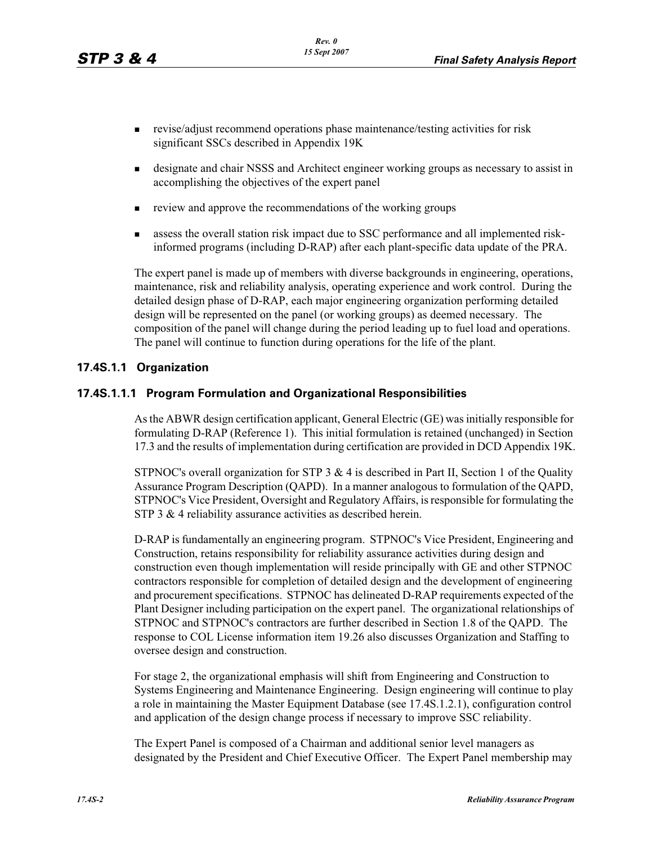- revise/adjust recommend operations phase maintenance/testing activities for risk significant SSCs described in Appendix 19K
- designate and chair NSSS and Architect engineer working groups as necessary to assist in accomplishing the objectives of the expert panel
- review and approve the recommendations of the working groups
- assess the overall station risk impact due to SSC performance and all implemented riskinformed programs (including D-RAP) after each plant-specific data update of the PRA.

The expert panel is made up of members with diverse backgrounds in engineering, operations, maintenance, risk and reliability analysis, operating experience and work control. During the detailed design phase of D-RAP, each major engineering organization performing detailed design will be represented on the panel (or working groups) as deemed necessary. The composition of the panel will change during the period leading up to fuel load and operations. The panel will continue to function during operations for the life of the plant.

## **17.4S.1.1 Organization**

#### **17.4S.1.1.1 Program Formulation and Organizational Responsibilities**

As the ABWR design certification applicant, General Electric (GE) was initially responsible for formulating D-RAP (Reference 1). This initial formulation is retained (unchanged) in Section 17.3 and the results of implementation during certification are provided in DCD Appendix 19K.

STPNOC's overall organization for STP  $3 \& 4$  is described in Part II, Section 1 of the Quality Assurance Program Description (QAPD). In a manner analogous to formulation of the QAPD, STPNOC's Vice President, Oversight and Regulatory Affairs, is responsible for formulating the STP 3 & 4 reliability assurance activities as described herein.

D-RAP is fundamentally an engineering program. STPNOC's Vice President, Engineering and Construction, retains responsibility for reliability assurance activities during design and construction even though implementation will reside principally with GE and other STPNOC contractors responsible for completion of detailed design and the development of engineering and procurement specifications. STPNOC has delineated D-RAP requirements expected of the Plant Designer including participation on the expert panel. The organizational relationships of STPNOC and STPNOC's contractors are further described in Section 1.8 of the QAPD. The response to COL License information item 19.26 also discusses Organization and Staffing to oversee design and construction.

For stage 2, the organizational emphasis will shift from Engineering and Construction to Systems Engineering and Maintenance Engineering. Design engineering will continue to play a role in maintaining the Master Equipment Database (see 17.4S.1.2.1), configuration control and application of the design change process if necessary to improve SSC reliability.

The Expert Panel is composed of a Chairman and additional senior level managers as designated by the President and Chief Executive Officer. The Expert Panel membership may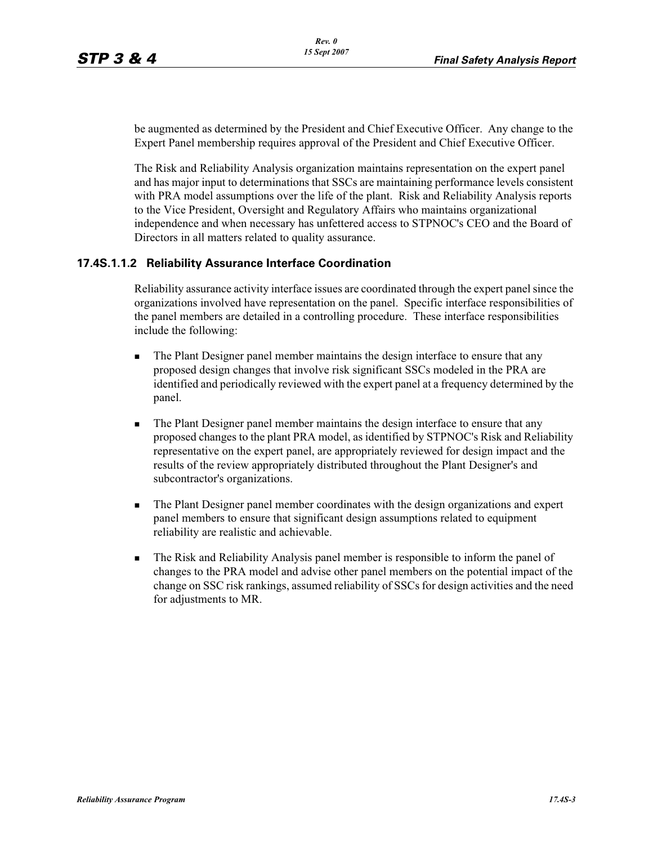be augmented as determined by the President and Chief Executive Officer. Any change to the Expert Panel membership requires approval of the President and Chief Executive Officer.

The Risk and Reliability Analysis organization maintains representation on the expert panel and has major input to determinations that SSCs are maintaining performance levels consistent with PRA model assumptions over the life of the plant. Risk and Reliability Analysis reports to the Vice President, Oversight and Regulatory Affairs who maintains organizational independence and when necessary has unfettered access to STPNOC's CEO and the Board of Directors in all matters related to quality assurance.

#### **17.4S.1.1.2 Reliability Assurance Interface Coordination**

Reliability assurance activity interface issues are coordinated through the expert panel since the organizations involved have representation on the panel. Specific interface responsibilities of the panel members are detailed in a controlling procedure. These interface responsibilities include the following:

- - The Plant Designer panel member maintains the design interface to ensure that any proposed design changes that involve risk significant SSCs modeled in the PRA are identified and periodically reviewed with the expert panel at a frequency determined by the panel.
- - The Plant Designer panel member maintains the design interface to ensure that any proposed changes to the plant PRA model, as identified by STPNOC's Risk and Reliability representative on the expert panel, are appropriately reviewed for design impact and the results of the review appropriately distributed throughout the Plant Designer's and subcontractor's organizations.
- - The Plant Designer panel member coordinates with the design organizations and expert panel members to ensure that significant design assumptions related to equipment reliability are realistic and achievable.
- - The Risk and Reliability Analysis panel member is responsible to inform the panel of changes to the PRA model and advise other panel members on the potential impact of the change on SSC risk rankings, assumed reliability of SSCs for design activities and the need for adjustments to MR.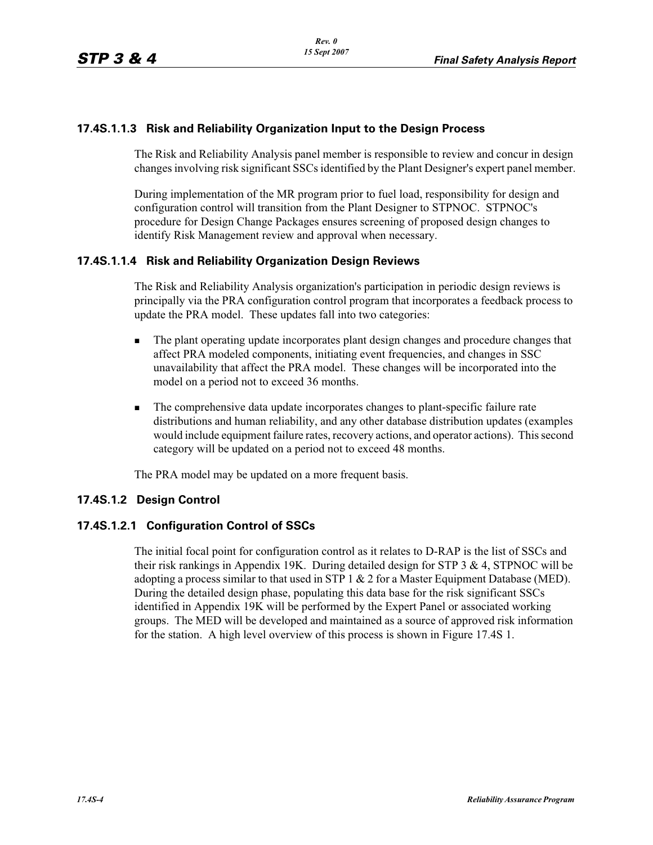## **17.4S.1.1.3 Risk and Reliability Organization Input to the Design Process**

The Risk and Reliability Analysis panel member is responsible to review and concur in design changes involving risk significant SSCs identified by the Plant Designer's expert panel member.

During implementation of the MR program prior to fuel load, responsibility for design and configuration control will transition from the Plant Designer to STPNOC. STPNOC's procedure for Design Change Packages ensures screening of proposed design changes to identify Risk Management review and approval when necessary.

## **17.4S.1.1.4 Risk and Reliability Organization Design Reviews**

The Risk and Reliability Analysis organization's participation in periodic design reviews is principally via the PRA configuration control program that incorporates a feedback process to update the PRA model. These updates fall into two categories:

- - The plant operating update incorporates plant design changes and procedure changes that affect PRA modeled components, initiating event frequencies, and changes in SSC unavailability that affect the PRA model. These changes will be incorporated into the model on a period not to exceed 36 months.
- - The comprehensive data update incorporates changes to plant-specific failure rate distributions and human reliability, and any other database distribution updates (examples would include equipment failure rates, recovery actions, and operator actions). This second category will be updated on a period not to exceed 48 months.

The PRA model may be updated on a more frequent basis.

## **17.4S.1.2 Design Control**

#### **17.4S.1.2.1 Configuration Control of SSCs**

The initial focal point for configuration control as it relates to D-RAP is the list of SSCs and their risk rankings in Appendix 19K. During detailed design for STP 3 & 4, STPNOC will be adopting a process similar to that used in STP 1 & 2 for a Master Equipment Database (MED). During the detailed design phase, populating this data base for the risk significant SSCs identified in Appendix 19K will be performed by the Expert Panel or associated working groups. The MED will be developed and maintained as a source of approved risk information for the station. A high level overview of this process is shown in Figure 17.4S 1.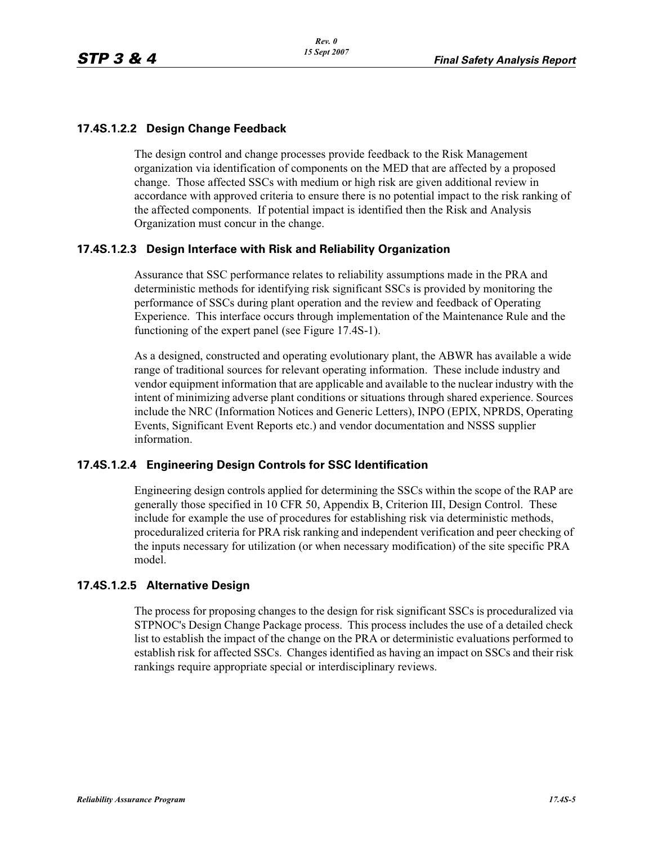### **17.4S.1.2.2 Design Change Feedback**

The design control and change processes provide feedback to the Risk Management organization via identification of components on the MED that are affected by a proposed change. Those affected SSCs with medium or high risk are given additional review in accordance with approved criteria to ensure there is no potential impact to the risk ranking of the affected components. If potential impact is identified then the Risk and Analysis Organization must concur in the change.

#### **17.4S.1.2.3 Design Interface with Risk and Reliability Organization**

Assurance that SSC performance relates to reliability assumptions made in the PRA and deterministic methods for identifying risk significant SSCs is provided by monitoring the performance of SSCs during plant operation and the review and feedback of Operating Experience. This interface occurs through implementation of the Maintenance Rule and the functioning of the expert panel (see Figure 17.4S-1).

As a designed, constructed and operating evolutionary plant, the ABWR has available a wide range of traditional sources for relevant operating information. These include industry and vendor equipment information that are applicable and available to the nuclear industry with the intent of minimizing adverse plant conditions or situations through shared experience. Sources include the NRC (Information Notices and Generic Letters), INPO (EPIX, NPRDS, Operating Events, Significant Event Reports etc.) and vendor documentation and NSSS supplier information.

#### **17.4S.1.2.4 Engineering Design Controls for SSC Identification**

Engineering design controls applied for determining the SSCs within the scope of the RAP are generally those specified in 10 CFR 50, Appendix B, Criterion III, Design Control. These include for example the use of procedures for establishing risk via deterministic methods, proceduralized criteria for PRA risk ranking and independent verification and peer checking of the inputs necessary for utilization (or when necessary modification) of the site specific PRA model.

#### **17.4S.1.2.5 Alternative Design**

The process for proposing changes to the design for risk significant SSCs is proceduralized via STPNOC's Design Change Package process. This process includes the use of a detailed check list to establish the impact of the change on the PRA or deterministic evaluations performed to establish risk for affected SSCs. Changes identified as having an impact on SSCs and their risk rankings require appropriate special or interdisciplinary reviews.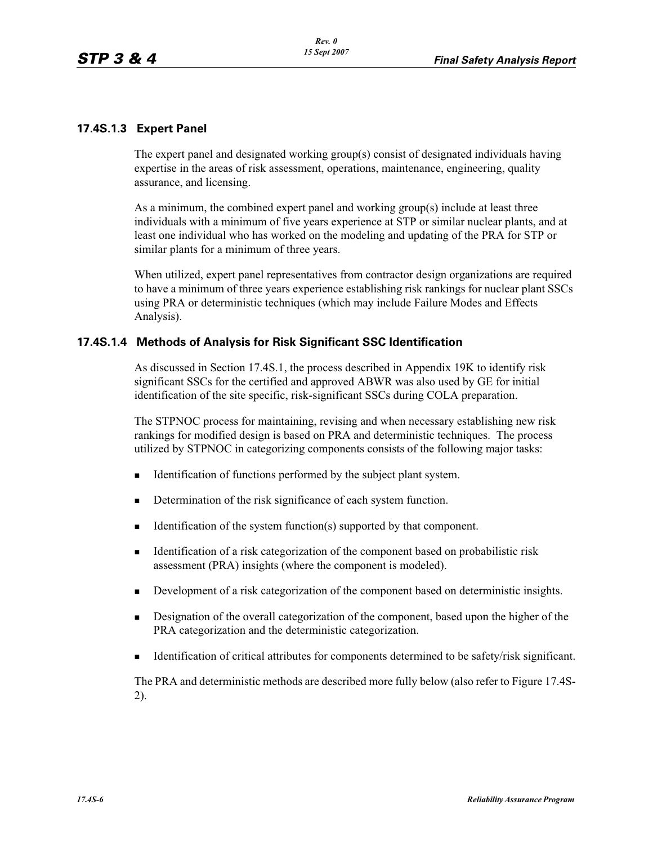### **17.4S.1.3 Expert Panel**

The expert panel and designated working group(s) consist of designated individuals having expertise in the areas of risk assessment, operations, maintenance, engineering, quality assurance, and licensing.

As a minimum, the combined expert panel and working group(s) include at least three individuals with a minimum of five years experience at STP or similar nuclear plants, and at least one individual who has worked on the modeling and updating of the PRA for STP or similar plants for a minimum of three years.

When utilized, expert panel representatives from contractor design organizations are required to have a minimum of three years experience establishing risk rankings for nuclear plant SSCs using PRA or deterministic techniques (which may include Failure Modes and Effects Analysis).

#### **17.4S.1.4 Methods of Analysis for Risk Significant SSC Identification**

As discussed in Section 17.4S.1, the process described in Appendix 19K to identify risk significant SSCs for the certified and approved ABWR was also used by GE for initial identification of the site specific, risk-significant SSCs during COLA preparation.

The STPNOC process for maintaining, revising and when necessary establishing new risk rankings for modified design is based on PRA and deterministic techniques. The process utilized by STPNOC in categorizing components consists of the following major tasks:

- -Identification of functions performed by the subject plant system.
- -Determination of the risk significance of each system function.
- -Identification of the system function(s) supported by that component.
- - Identification of a risk categorization of the component based on probabilistic risk assessment (PRA) insights (where the component is modeled).
- -Development of a risk categorization of the component based on deterministic insights.
- - Designation of the overall categorization of the component, based upon the higher of the PRA categorization and the deterministic categorization.
- -Identification of critical attributes for components determined to be safety/risk significant.

The PRA and deterministic methods are described more fully below (also refer to Figure 17.4S-2).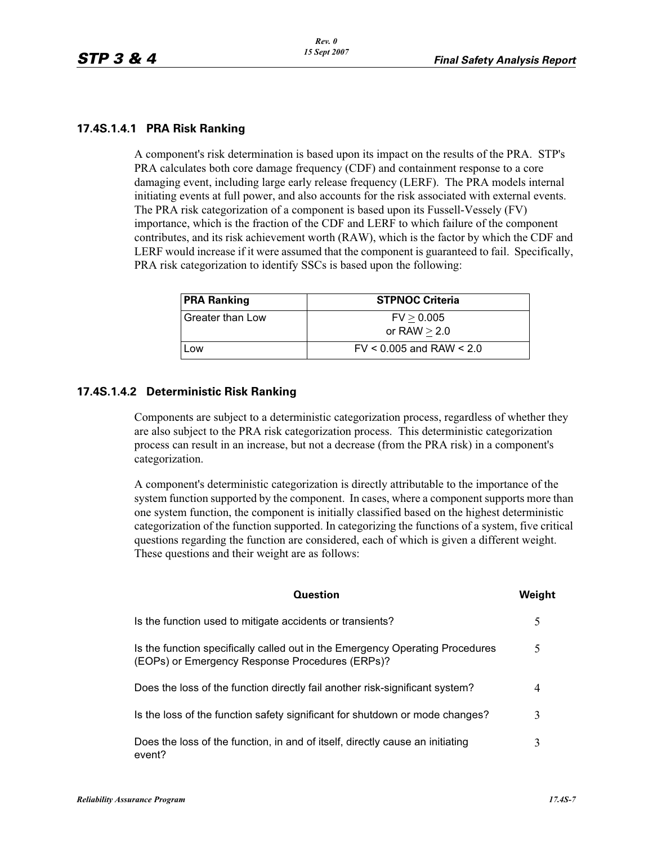#### **17.4S.1.4.1 PRA Risk Ranking**

A component's risk determination is based upon its impact on the results of the PRA. STP's PRA calculates both core damage frequency (CDF) and containment response to a core damaging event, including large early release frequency (LERF). The PRA models internal initiating events at full power, and also accounts for the risk associated with external events. The PRA risk categorization of a component is based upon its Fussell-Vessely (FV) importance, which is the fraction of the CDF and LERF to which failure of the component contributes, and its risk achievement worth (RAW), which is the factor by which the CDF and LERF would increase if it were assumed that the component is guaranteed to fail. Specifically, PRA risk categorization to identify SSCs is based upon the following:

| <b>PRA Ranking</b> | <b>STPNOC Criteria</b>       |
|--------------------|------------------------------|
| Greater than Low   | FV > 0.005                   |
|                    | or RAW $> 2.0$               |
| Low                | $FV < 0.005$ and RAW $< 2.0$ |

#### **17.4S.1.4.2 Deterministic Risk Ranking**

Components are subject to a deterministic categorization process, regardless of whether they are also subject to the PRA risk categorization process. This deterministic categorization process can result in an increase, but not a decrease (from the PRA risk) in a component's categorization.

A component's deterministic categorization is directly attributable to the importance of the system function supported by the component. In cases, where a component supports more than one system function, the component is initially classified based on the highest deterministic categorization of the function supported. In categorizing the functions of a system, five critical questions regarding the function are considered, each of which is given a different weight. These questions and their weight are as follows:

| Question                                                                                                                         | Weiaht |
|----------------------------------------------------------------------------------------------------------------------------------|--------|
| Is the function used to mitigate accidents or transients?                                                                        |        |
| Is the function specifically called out in the Emergency Operating Procedures<br>(EOPs) or Emergency Response Procedures (ERPs)? | 5      |
| Does the loss of the function directly fail another risk-significant system?                                                     |        |
| Is the loss of the function safety significant for shutdown or mode changes?                                                     | 3      |
| Does the loss of the function, in and of itself, directly cause an initiating<br>event?                                          |        |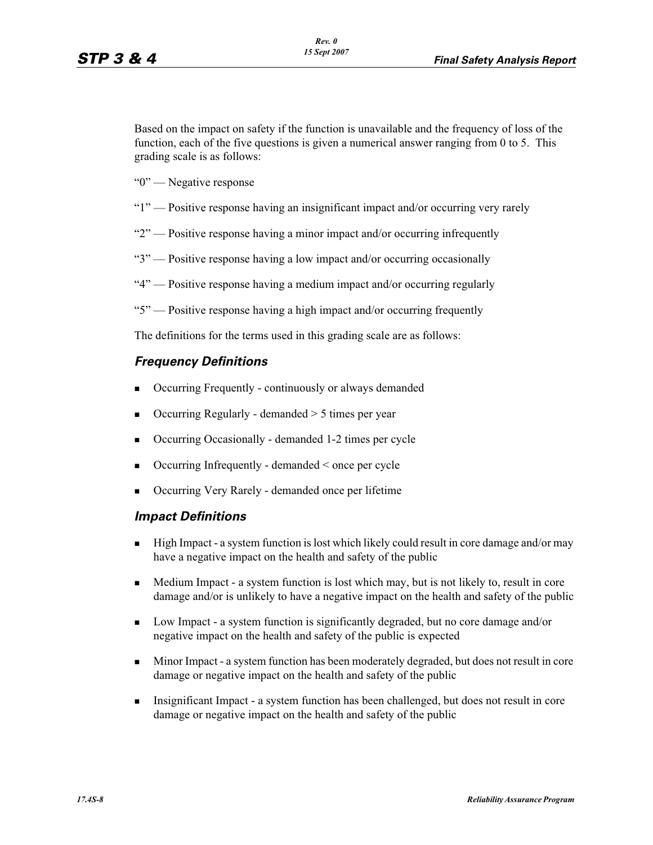Based on the impact on safety if the function is unavailable and the frequency of loss of the function, each of the five questions is given a numerical answer ranging from 0 to 5. This grading scale is as follows:

"0" — Negative response

- "1" Positive response having an insignificant impact and/or occurring very rarely
- "2" Positive response having a minor impact and/or occurring infrequently
- "3" Positive response having a low impact and/or occurring occasionally
- "4" Positive response having a medium impact and/or occurring regularly
- "5" Positive response having a high impact and/or occurring frequently

The definitions for the terms used in this grading scale are as follows:

#### *Frequency Definitions*

- -Occurring Frequently - continuously or always demanded
- -Occurring Regularly - demanded > 5 times per year
- -Occurring Occasionally - demanded 1-2 times per cycle
- -Occurring Infrequently - demanded < once per cycle
- -Occurring Very Rarely - demanded once per lifetime

#### *Impact Definitions*

- - High Impact - a system function is lost which likely could result in core damage and/or may have a negative impact on the health and safety of the public
- - Medium Impact - a system function is lost which may, but is not likely to, result in core damage and/or is unlikely to have a negative impact on the health and safety of the public
- - Low Impact - a system function is significantly degraded, but no core damage and/or negative impact on the health and safety of the public is expected
- - Minor Impact - a system function has been moderately degraded, but does not result in core damage or negative impact on the health and safety of the public
- - Insignificant Impact - a system function has been challenged, but does not result in core damage or negative impact on the health and safety of the public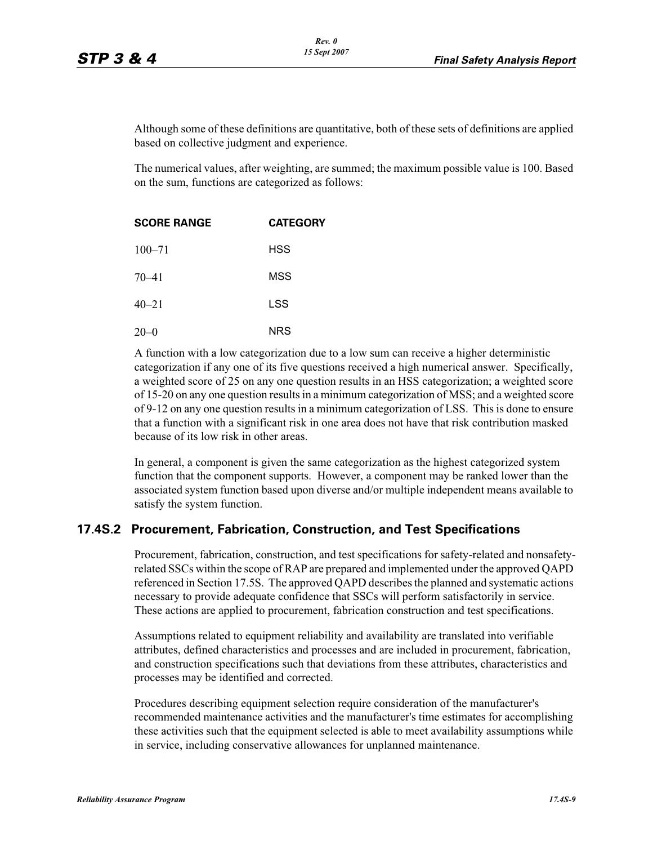Although some of these definitions are quantitative, both of these sets of definitions are applied based on collective judgment and experience.

The numerical values, after weighting, are summed; the maximum possible value is 100. Based on the sum, functions are categorized as follows:

| <b>SCORE RANGE</b> | <b>CATEGORY</b> |  |
|--------------------|-----------------|--|
| $100 - 71$         | HSS             |  |
| $70 - 41$          | MSS             |  |
| $40 - 21$          | LSS             |  |
| $20 - 0$           | NRS             |  |

A function with a low categorization due to a low sum can receive a higher deterministic categorization if any one of its five questions received a high numerical answer. Specifically, a weighted score of 25 on any one question results in an HSS categorization; a weighted score of 15-20 on any one question results in a minimum categorization of MSS; and a weighted score of 9-12 on any one question results in a minimum categorization of LSS. This is done to ensure that a function with a significant risk in one area does not have that risk contribution masked because of its low risk in other areas.

In general, a component is given the same categorization as the highest categorized system function that the component supports. However, a component may be ranked lower than the associated system function based upon diverse and/or multiple independent means available to satisfy the system function.

#### **17.4S.2 Procurement, Fabrication, Construction, and Test Specifications**

Procurement, fabrication, construction, and test specifications for safety-related and nonsafetyrelated SSCs within the scope of RAP are prepared and implemented under the approved QAPD referenced in Section 17.5S. The approved QAPD describes the planned and systematic actions necessary to provide adequate confidence that SSCs will perform satisfactorily in service. These actions are applied to procurement, fabrication construction and test specifications.

Assumptions related to equipment reliability and availability are translated into verifiable attributes, defined characteristics and processes and are included in procurement, fabrication, and construction specifications such that deviations from these attributes, characteristics and processes may be identified and corrected.

Procedures describing equipment selection require consideration of the manufacturer's recommended maintenance activities and the manufacturer's time estimates for accomplishing these activities such that the equipment selected is able to meet availability assumptions while in service, including conservative allowances for unplanned maintenance.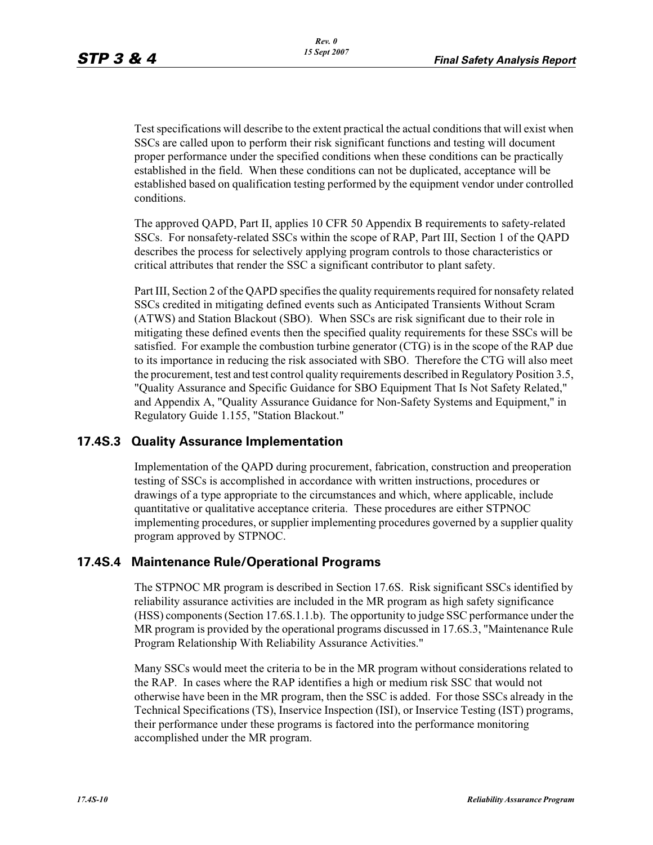Test specifications will describe to the extent practical the actual conditions that will exist when SSCs are called upon to perform their risk significant functions and testing will document proper performance under the specified conditions when these conditions can be practically established in the field. When these conditions can not be duplicated, acceptance will be established based on qualification testing performed by the equipment vendor under controlled conditions.

The approved QAPD, Part II, applies 10 CFR 50 Appendix B requirements to safety-related SSCs. For nonsafety-related SSCs within the scope of RAP, Part III, Section 1 of the QAPD describes the process for selectively applying program controls to those characteristics or critical attributes that render the SSC a significant contributor to plant safety.

Part III, Section 2 of the QAPD specifies the quality requirements required for nonsafety related SSCs credited in mitigating defined events such as Anticipated Transients Without Scram (ATWS) and Station Blackout (SBO). When SSCs are risk significant due to their role in mitigating these defined events then the specified quality requirements for these SSCs will be satisfied. For example the combustion turbine generator (CTG) is in the scope of the RAP due to its importance in reducing the risk associated with SBO. Therefore the CTG will also meet the procurement, test and test control quality requirements described in Regulatory Position 3.5, "Quality Assurance and Specific Guidance for SBO Equipment That Is Not Safety Related," and Appendix A, "Quality Assurance Guidance for Non-Safety Systems and Equipment," in Regulatory Guide 1.155, "Station Blackout."

## **17.4S.3 Quality Assurance Implementation**

Implementation of the QAPD during procurement, fabrication, construction and preoperation testing of SSCs is accomplished in accordance with written instructions, procedures or drawings of a type appropriate to the circumstances and which, where applicable, include quantitative or qualitative acceptance criteria. These procedures are either STPNOC implementing procedures, or supplier implementing procedures governed by a supplier quality program approved by STPNOC.

## **17.4S.4 Maintenance Rule/Operational Programs**

The STPNOC MR program is described in Section 17.6S. Risk significant SSCs identified by reliability assurance activities are included in the MR program as high safety significance (HSS) components (Section 17.6S.1.1.b). The opportunity to judge SSC performance under the MR program is provided by the operational programs discussed in 17.6S.3, "Maintenance Rule Program Relationship With Reliability Assurance Activities."

Many SSCs would meet the criteria to be in the MR program without considerations related to the RAP. In cases where the RAP identifies a high or medium risk SSC that would not otherwise have been in the MR program, then the SSC is added. For those SSCs already in the Technical Specifications (TS), Inservice Inspection (ISI), or Inservice Testing (IST) programs, their performance under these programs is factored into the performance monitoring accomplished under the MR program.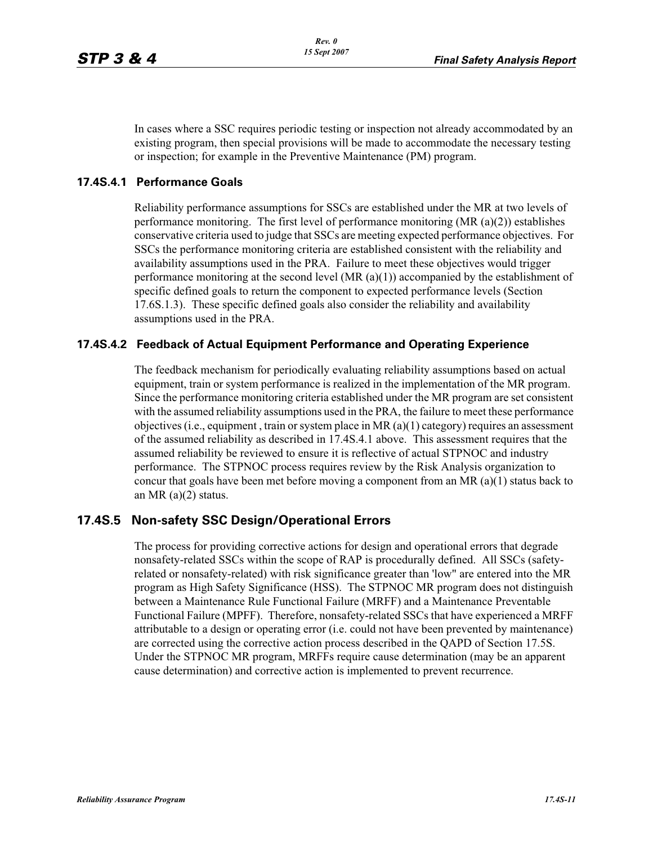In cases where a SSC requires periodic testing or inspection not already accommodated by an existing program, then special provisions will be made to accommodate the necessary testing or inspection; for example in the Preventive Maintenance (PM) program.

#### **17.4S.4.1 Performance Goals**

Reliability performance assumptions for SSCs are established under the MR at two levels of performance monitoring. The first level of performance monitoring (MR (a)(2)) establishes conservative criteria used to judge that SSCs are meeting expected performance objectives. For SSCs the performance monitoring criteria are established consistent with the reliability and availability assumptions used in the PRA. Failure to meet these objectives would trigger performance monitoring at the second level  $(MR (a)(1))$  accompanied by the establishment of specific defined goals to return the component to expected performance levels (Section 17.6S.1.3). These specific defined goals also consider the reliability and availability assumptions used in the PRA.

#### **17.4S.4.2 Feedback of Actual Equipment Performance and Operating Experience**

The feedback mechanism for periodically evaluating reliability assumptions based on actual equipment, train or system performance is realized in the implementation of the MR program. Since the performance monitoring criteria established under the MR program are set consistent with the assumed reliability assumptions used in the PRA, the failure to meet these performance objectives (i.e., equipment , train or system place in MR (a)(1) category) requires an assessment of the assumed reliability as described in 17.4S.4.1 above. This assessment requires that the assumed reliability be reviewed to ensure it is reflective of actual STPNOC and industry performance. The STPNOC process requires review by the Risk Analysis organization to concur that goals have been met before moving a component from an MR  $(a)(1)$  status back to an MR (a)(2) status.

## **17.4S.5 Non-safety SSC Design/Operational Errors**

The process for providing corrective actions for design and operational errors that degrade nonsafety-related SSCs within the scope of RAP is procedurally defined. All SSCs (safetyrelated or nonsafety-related) with risk significance greater than 'low" are entered into the MR program as High Safety Significance (HSS). The STPNOC MR program does not distinguish between a Maintenance Rule Functional Failure (MRFF) and a Maintenance Preventable Functional Failure (MPFF). Therefore, nonsafety-related SSCs that have experienced a MRFF attributable to a design or operating error (i.e. could not have been prevented by maintenance) are corrected using the corrective action process described in the QAPD of Section 17.5S. Under the STPNOC MR program, MRFFs require cause determination (may be an apparent cause determination) and corrective action is implemented to prevent recurrence.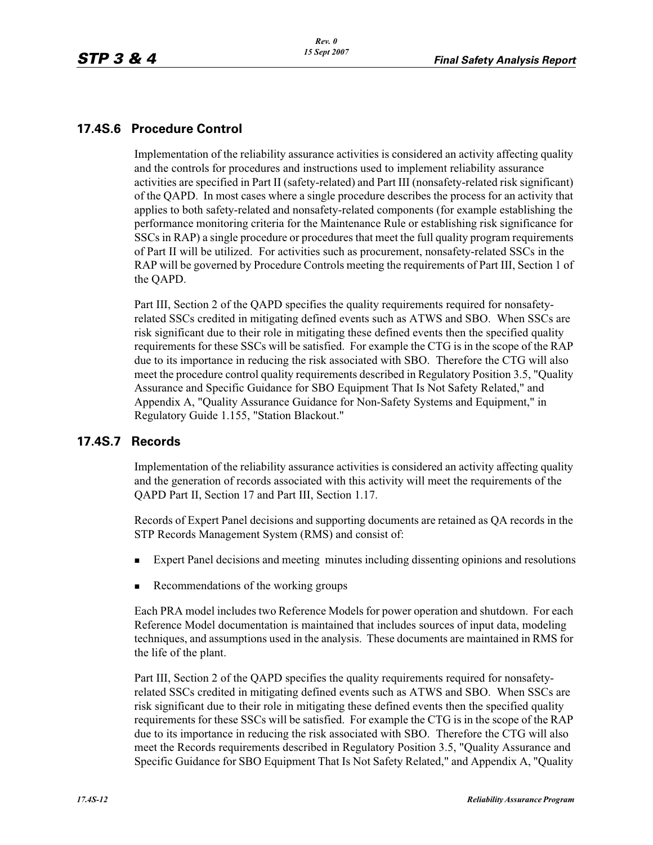## **17.4S.6 Procedure Control**

Implementation of the reliability assurance activities is considered an activity affecting quality and the controls for procedures and instructions used to implement reliability assurance activities are specified in Part II (safety-related) and Part III (nonsafety-related risk significant) of the QAPD. In most cases where a single procedure describes the process for an activity that applies to both safety-related and nonsafety-related components (for example establishing the performance monitoring criteria for the Maintenance Rule or establishing risk significance for SSCs in RAP) a single procedure or procedures that meet the full quality program requirements of Part II will be utilized. For activities such as procurement, nonsafety-related SSCs in the RAP will be governed by Procedure Controls meeting the requirements of Part III, Section 1 of the QAPD.

Part III, Section 2 of the QAPD specifies the quality requirements required for nonsafetyrelated SSCs credited in mitigating defined events such as ATWS and SBO. When SSCs are risk significant due to their role in mitigating these defined events then the specified quality requirements for these SSCs will be satisfied. For example the CTG is in the scope of the RAP due to its importance in reducing the risk associated with SBO. Therefore the CTG will also meet the procedure control quality requirements described in Regulatory Position 3.5, "Quality Assurance and Specific Guidance for SBO Equipment That Is Not Safety Related," and Appendix A, "Quality Assurance Guidance for Non-Safety Systems and Equipment," in Regulatory Guide 1.155, "Station Blackout."

## **17.4S.7 Records**

Implementation of the reliability assurance activities is considered an activity affecting quality and the generation of records associated with this activity will meet the requirements of the QAPD Part II, Section 17 and Part III, Section 1.17.

Records of Expert Panel decisions and supporting documents are retained as QA records in the STP Records Management System (RMS) and consist of:

- -Expert Panel decisions and meeting minutes including dissenting opinions and resolutions
- -Recommendations of the working groups

Each PRA model includes two Reference Models for power operation and shutdown. For each Reference Model documentation is maintained that includes sources of input data, modeling techniques, and assumptions used in the analysis. These documents are maintained in RMS for the life of the plant.

Part III, Section 2 of the QAPD specifies the quality requirements required for nonsafetyrelated SSCs credited in mitigating defined events such as ATWS and SBO. When SSCs are risk significant due to their role in mitigating these defined events then the specified quality requirements for these SSCs will be satisfied. For example the CTG is in the scope of the RAP due to its importance in reducing the risk associated with SBO. Therefore the CTG will also meet the Records requirements described in Regulatory Position 3.5, "Quality Assurance and Specific Guidance for SBO Equipment That Is Not Safety Related," and Appendix A, "Quality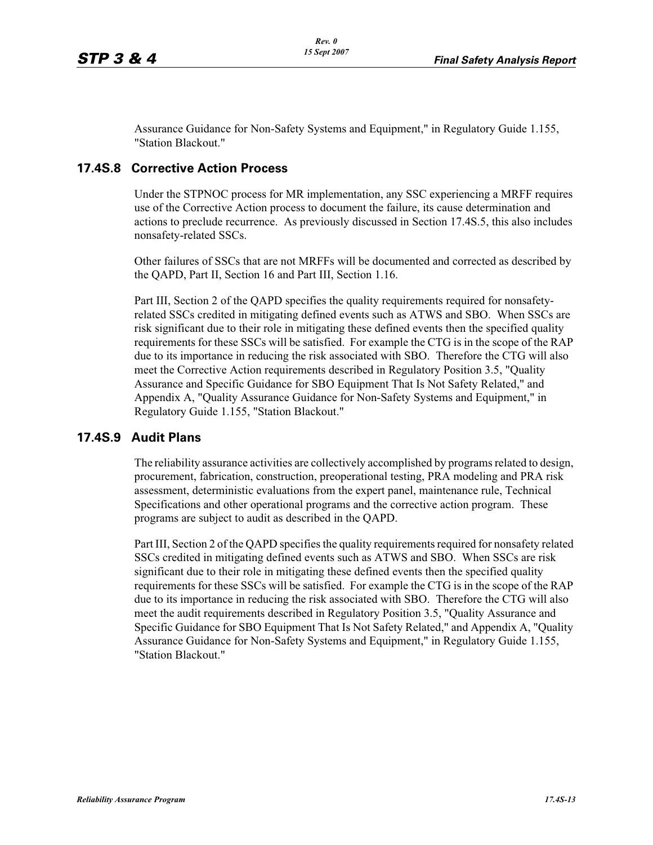Assurance Guidance for Non-Safety Systems and Equipment," in Regulatory Guide 1.155, "Station Blackout."

## **17.4S.8 Corrective Action Process**

Under the STPNOC process for MR implementation, any SSC experiencing a MRFF requires use of the Corrective Action process to document the failure, its cause determination and actions to preclude recurrence. As previously discussed in Section 17.4S.5, this also includes nonsafety-related SSCs.

Other failures of SSCs that are not MRFFs will be documented and corrected as described by the QAPD, Part II, Section 16 and Part III, Section 1.16.

Part III, Section 2 of the QAPD specifies the quality requirements required for nonsafetyrelated SSCs credited in mitigating defined events such as ATWS and SBO. When SSCs are risk significant due to their role in mitigating these defined events then the specified quality requirements for these SSCs will be satisfied. For example the CTG is in the scope of the RAP due to its importance in reducing the risk associated with SBO. Therefore the CTG will also meet the Corrective Action requirements described in Regulatory Position 3.5, "Quality Assurance and Specific Guidance for SBO Equipment That Is Not Safety Related," and Appendix A, "Quality Assurance Guidance for Non-Safety Systems and Equipment," in Regulatory Guide 1.155, "Station Blackout."

#### **17.4S.9 Audit Plans**

The reliability assurance activities are collectively accomplished by programs related to design, procurement, fabrication, construction, preoperational testing, PRA modeling and PRA risk assessment, deterministic evaluations from the expert panel, maintenance rule, Technical Specifications and other operational programs and the corrective action program. These programs are subject to audit as described in the QAPD.

Part III, Section 2 of the QAPD specifies the quality requirements required for nonsafety related SSCs credited in mitigating defined events such as ATWS and SBO. When SSCs are risk significant due to their role in mitigating these defined events then the specified quality requirements for these SSCs will be satisfied. For example the CTG is in the scope of the RAP due to its importance in reducing the risk associated with SBO. Therefore the CTG will also meet the audit requirements described in Regulatory Position 3.5, "Quality Assurance and Specific Guidance for SBO Equipment That Is Not Safety Related," and Appendix A, "Quality Assurance Guidance for Non-Safety Systems and Equipment," in Regulatory Guide 1.155, "Station Blackout."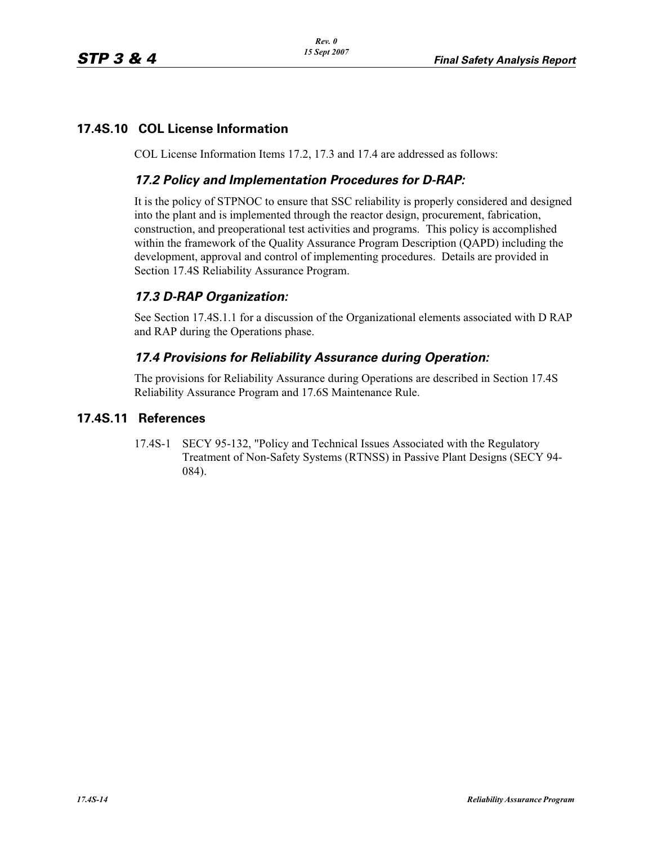## **17.4S.10 COL License Information**

COL License Information Items 17.2, 17.3 and 17.4 are addressed as follows:

## *17.2 Policy and Implementation Procedures for D-RAP:*

It is the policy of STPNOC to ensure that SSC reliability is properly considered and designed into the plant and is implemented through the reactor design, procurement, fabrication, construction, and preoperational test activities and programs. This policy is accomplished within the framework of the Quality Assurance Program Description (QAPD) including the development, approval and control of implementing procedures. Details are provided in Section 17.4S Reliability Assurance Program.

## *17.3 D-RAP Organization:*

See Section 17.4S.1.1 for a discussion of the Organizational elements associated with D RAP and RAP during the Operations phase.

## *17.4 Provisions for Reliability Assurance during Operation:*

The provisions for Reliability Assurance during Operations are described in Section 17.4S Reliability Assurance Program and 17.6S Maintenance Rule.

## **17.4S.11 References**

17.4S-1 SECY 95-132, "Policy and Technical Issues Associated with the Regulatory Treatment of Non-Safety Systems (RTNSS) in Passive Plant Designs (SECY 94- 084).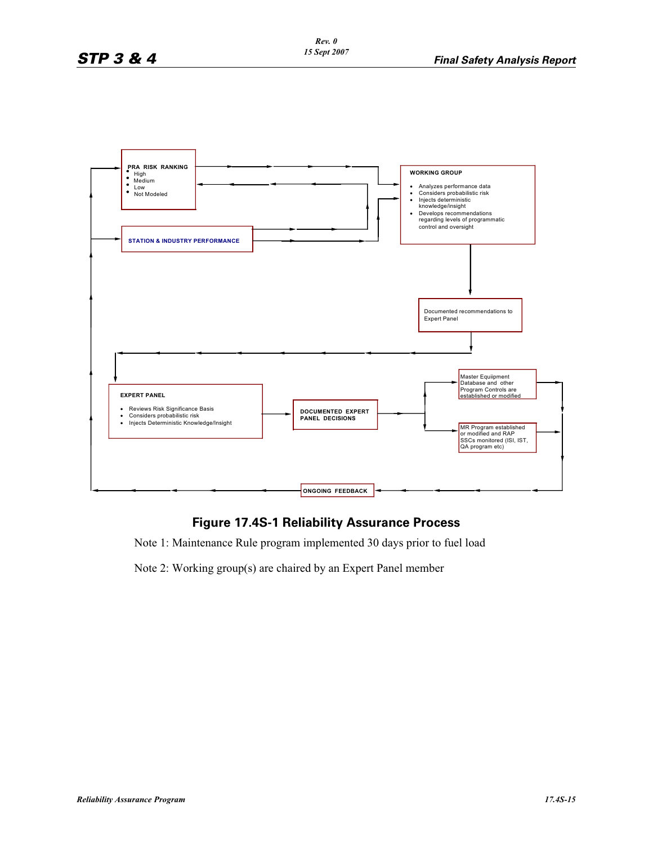

## **Figure 17.4S-1 Reliability Assurance Process**

Note 1: Maintenance Rule program implemented 30 days prior to fuel load

Note 2: Working group(s) are chaired by an Expert Panel member